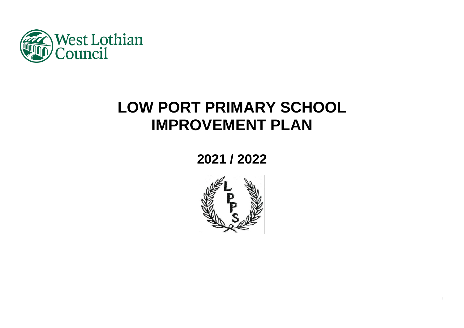

# **LOW PORT PRIMARY SCHOOL IMPROVEMENT PLAN**

# **2021 / 2022**

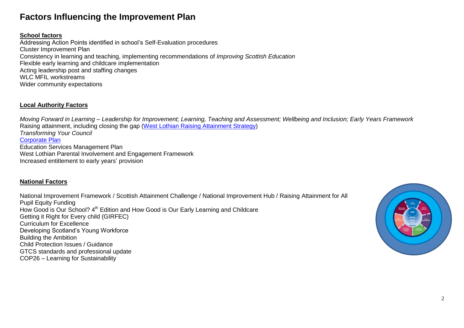# **Factors Influencing the Improvement Plan**

# **School factors**

Addressing Action Points identified in school's Self-Evaluation procedures Cluster Improvement Plan Consistency in learning and teaching, implementing recommendations of *Improving Scottish Education*  Flexible early learning and childcare implementation Acting leadership post and staffing changes WLC MFIL workstreams Wider community expectations

# **Local Authority Factors**

*Moving Forward in Learning – Leadership for Improvement; Learning, Teaching and Assessment; Wellbeing and Inclusion; Early Years Framework* Raising attainment, including closing the gap [\(West Lothian Raising Attainment Strategy\)](https://www.westlothian.gov.uk/media/29938/Raising-Attainment-Strategy-201819-to-202223/pdf/Raising_Attainment_Strategy.pdf) *Transforming Your Council* [Corporate Plan](https://www.westlothian.gov.uk/media/19488/Corporate-Plan-2018-2023/pdf/Corporate_Plan_2018_to_2023.pdf) Education Services Management Plan West Lothian Parental Involvement and Engagement Framework Increased entitlement to early years' provision

# **National Factors**

National Improvement Framework / Scottish Attainment Challenge / National Improvement Hub / Raising Attainment for All Pupil Equity Funding How Good is Our School? 4<sup>th</sup> Edition and How Good is Our Early Learning and Childcare Getting it Right for Every child (GIRFEC) Curriculum for Excellence Developing Scotland's Young Workforce Building the Ambition Child Protection Issues / Guidance GTCS standards and professional update COP26 – Learning for Sustainability

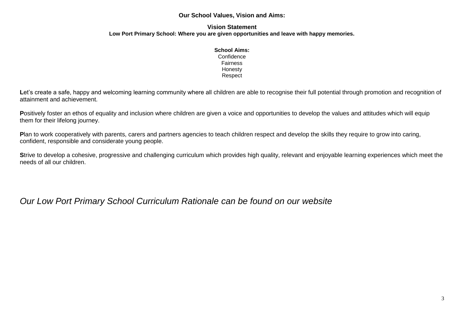# **Our School Values, Vision and Aims:**

#### **Vision Statement Low Port Primary School: Where you are given opportunities and leave with happy memories.**

#### **School Aims: Confidence**

Fairness Honesty Respect

Let's create a safe, happy and welcoming learning community where all children are able to recognise their full potential through promotion and recognition of attainment and achievement.

Positively foster an ethos of equality and inclusion where children are given a voice and opportunities to develop the values and attitudes which will equip them for their lifelong journey.

Plan to work cooperatively with parents, carers and partners agencies to teach children respect and develop the skills they require to grow into caring, confident, responsible and considerate young people.

**S**trive to develop a cohesive, progressive and challenging curriculum which provides high quality, relevant and enjoyable learning experiences which meet the needs of all our children.

*Our Low Port Primary School Curriculum Rationale can be found on our website*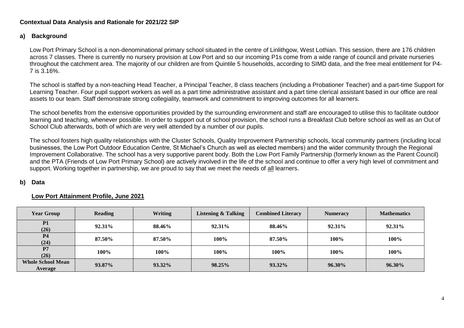# **Contextual Data Analysis and Rationale for 2021/22 SIP**

# **a) Background**

Low Port Primary School is a non-denominational primary school situated in the centre of Linlithgow, West Lothian. This session, there are 176 children across 7 classes. There is currently no nursery provision at Low Port and so our incoming P1s come from a wide range of council and private nurseries throughout the catchment area. The majority of our children are from Quintile 5 households, according to SIMD data, and the free meal entitlement for P4- 7 is 3.16%.

The school is staffed by a non-teaching Head Teacher, a Principal Teacher, 8 class teachers (including a Probationer Teacher) and a part-time Support for Learning Teacher. Four pupil support workers as well as a part time administrative assistant and a part time clerical assistant based in our office are real assets to our team. Staff demonstrate strong collegiality, teamwork and commitment to improving outcomes for all learners.

The school benefits from the extensive opportunities provided by the surrounding environment and staff are encouraged to utilise this to facilitate outdoor learning and teaching, whenever possible. In order to support out of school provision, the school runs a Breakfast Club before school as well as an Out of School Club afterwards, both of which are very well attended by a number of our pupils.

The school fosters high quality relationships with the Cluster Schools, Quality Improvement Partnership schools, local community partners (including local businesses, the Low Port Outdoor Education Centre, St Michael's Church as well as elected members) and the wider community through the Regional Improvement Collaborative. The school has a very supportive parent body. Both the Low Port Family Partnership (formerly known as the Parent Council) and the PTA (Friends of Low Port Primary School) are actively involved in the life of the school and continue to offer a very high level of commitment and support. Working together in partnership, we are proud to say that we meet the needs of all learners.

# **b) Data**

# **Low Port Attainment Profile, June 2021**

| <b>Year Group</b>                   | <b>Reading</b> | <b>Writing</b> | <b>Listening &amp; Talking</b> | <b>Combined Literacy</b> | <b>Numeracy</b> | <b>Mathematics</b> |
|-------------------------------------|----------------|----------------|--------------------------------|--------------------------|-----------------|--------------------|
| <b>P1</b><br>(26)                   | 92.31%         | 88.46%         | 92.31%                         | 88.46%                   | 92.31%          | 92.31%             |
| P <sub>4</sub><br>(24)              | 87.50%         | 87.50%         | 100%                           | 87.50%                   | 100%            | 100%               |
| P7<br>(26)                          | 100%           | 100%           | 100%                           | 100%                     | 100%            | 100%               |
| <b>Whole School Mean</b><br>Average | 93.87%         | 93.32%         | $98.25\%$                      | 93.32%                   | $96.30\%$       | 96.30%             |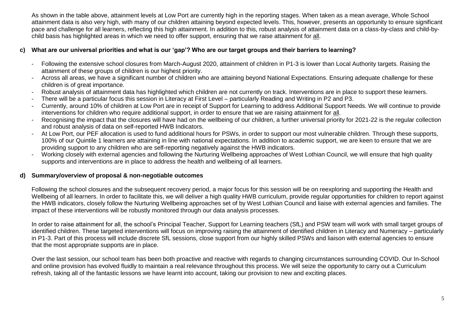As shown in the table above, attainment levels at Low Port are currently high in the reporting stages. When taken as a mean average, Whole School attainment data is also very high, with many of our children attaining beyond expected levels. This, however, presents an opportunity to ensure significant pace and challenge for all learners, reflecting this high attainment. In addition to this, robust analysis of attainment data on a class-by-class and child-bychild basis has highlighted areas in which we need to offer support, ensuring that we raise attainment for all.

# **c) What are our universal priorities and what is our 'gap'? Who are our target groups and their barriers to learning?**

- Following the extensive school closures from March-August 2020, attainment of children in P1-3 is lower than Local Authority targets. Raising the attainment of these groups of children is our highest priority.
- Across all areas, we have a significant number of children who are attaining beyond National Expectations. Ensuring adequate challenge for these children is of great importance.
- Robust analysis of attainment data has highlighted which children are not currently on track. Interventions are in place to support these learners.
- There will be a particular focus this session in Literacy at First Level particularly Reading and Writing in P2 and P3.
- Currently, around 10% of children at Low Port are in receipt of Support for Learning to address Additional Support Needs. We will continue to provide interventions for children who require additional support, in order to ensure that we are raising attainment for all.
- Recognising the impact that the closures will have had on the wellbeing of our children, a further universal priority for 2021-22 is the regular collection and robust analysis of data on self-reported HWB Indicators.
- At Low Port, our PEF allocation is used to fund additional hours for PSWs, in order to support our most vulnerable children. Through these supports, 100% of our Quintile 1 learners are attaining in line with national expectations. In addition to academic support, we are keen to ensure that we are providing support to any children who are self-reporting negatively against the HWB indicators.
- Working closely with external agencies and following the Nurturing Wellbeing approaches of West Lothian Council, we will ensure that high quality supports and interventions are in place to address the health and wellbeing of all learners.

# **d) Summary/overview of proposal & non-negotiable outcomes**

Following the school closures and the subsequent recovery period, a major focus for this session will be on reexploring and supporting the Health and Wellbeing of all learners. In order to facilitate this, we will deliver a high quality HWB curriculum, provide regular opportunities for children to report against the HWB indicators, closely follow the Nurturing Wellbeing approaches set of by West Lothian Council and liaise with external agencies and families. The impact of these interventions will be robustly monitored through our data analysis processes.

In order to raise attainment for all, the school's Principal Teacher, Support for Learning teachers (SfL) and PSW team will work with small target groups of identified children. These targeted interventions will focus on improving raising the attainment of identified children in Literacy and Numeracy – particularly in P1-3. Part of this process will include discrete SfL sessions, close support from our highly skilled PSWs and liaison with external agencies to ensure that the most appropriate supports are in place.

Over the last session, our school team has been both proactive and reactive with regards to changing circumstances surrounding COVID. Our In-School and online provision has evolved fluidly to maintain a real relevance throughout this process. We will seize the opportunity to carry out a Curriculum refresh, taking all of the fantastic lessons we have learnt into account, taking our provision to new and exciting places.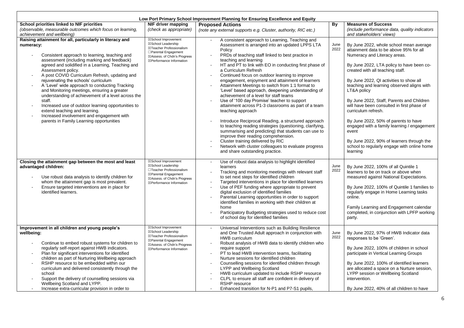| Low Port Primary School Improvement Planning for Ensuring Excellence and Equity                                                                                                                                                                                                                                                                                                                                                                                                                                                                                                                                                                                                            |                                                                                                                                                           |                                                                                                                                                                                                                                                                                                                                                                                                                                                                                                                                                                                                                                                                                                                                                                                                                                                                                                                                                                                                                                                  |              |                                                                                                                                                                                                                                                                                                                                                                                                                                                                                                                                                                                                                                       |  |  |  |  |
|--------------------------------------------------------------------------------------------------------------------------------------------------------------------------------------------------------------------------------------------------------------------------------------------------------------------------------------------------------------------------------------------------------------------------------------------------------------------------------------------------------------------------------------------------------------------------------------------------------------------------------------------------------------------------------------------|-----------------------------------------------------------------------------------------------------------------------------------------------------------|--------------------------------------------------------------------------------------------------------------------------------------------------------------------------------------------------------------------------------------------------------------------------------------------------------------------------------------------------------------------------------------------------------------------------------------------------------------------------------------------------------------------------------------------------------------------------------------------------------------------------------------------------------------------------------------------------------------------------------------------------------------------------------------------------------------------------------------------------------------------------------------------------------------------------------------------------------------------------------------------------------------------------------------------------|--------------|---------------------------------------------------------------------------------------------------------------------------------------------------------------------------------------------------------------------------------------------------------------------------------------------------------------------------------------------------------------------------------------------------------------------------------------------------------------------------------------------------------------------------------------------------------------------------------------------------------------------------------------|--|--|--|--|
| School priorities linked to NIF priorities                                                                                                                                                                                                                                                                                                                                                                                                                                                                                                                                                                                                                                                 | NIF driver mapping                                                                                                                                        | <b>Proposed Actions</b>                                                                                                                                                                                                                                                                                                                                                                                                                                                                                                                                                                                                                                                                                                                                                                                                                                                                                                                                                                                                                          |              | <b>Measures of Success</b>                                                                                                                                                                                                                                                                                                                                                                                                                                                                                                                                                                                                            |  |  |  |  |
| (observable, measurable outcomes which focus on learning,<br>achievement and wellbeing)                                                                                                                                                                                                                                                                                                                                                                                                                                                                                                                                                                                                    | (check as appropriate)                                                                                                                                    | (note any external supports e.g. Cluster, authority, RIC etc.)                                                                                                                                                                                                                                                                                                                                                                                                                                                                                                                                                                                                                                                                                                                                                                                                                                                                                                                                                                                   |              | (include performance data, quality indicators<br>and stakeholders' views)                                                                                                                                                                                                                                                                                                                                                                                                                                                                                                                                                             |  |  |  |  |
| Raising attainment for all, particularly in literacy and<br>numeracy:<br>Consistent approach to learning, teaching and<br>assessment (including marking and feedback)<br>agreed and solidified in a Learning, Teaching and<br>Assessment policy.<br>A post COVID Curriculum Refresh, updating and<br>rejuvenating the schools' curriculum<br>A 'Level' wide approach to conducting Tracking<br>and Monitoring meetings, ensuring a greater<br>understanding of achievement of a level across the<br>staff.<br>Increased use of outdoor learning opportunities to<br>extend teaching and learning.<br>Increased involvement and engagement with<br>parents in Family Learning opportunities | ⊠School Improvement<br>⊠School Leadership<br>⊠Teacher Professionalism<br>□ Parental Engagement<br>⊠Assess. of Chdn's Progress<br>⊠Performance Information | A consistent approach to Learning, Teaching and<br>Assessment is arranged into an updated LPPS LTA<br>Policy<br>PRDs of teaching staff linked to best practice in<br>teaching and learning<br>HT and PT to link with EO in conducting first phase of<br>a Curriculum Refresh<br>Continued focus on outdoor learning to improve<br>engagement, enjoyment and attainment of learners<br>Attainment Meetings to switch from 1:1 format to<br>'Level' based approach, deepening understanding of<br>achievement of a level for staff teams<br>Use of '100 day Promise' teacher to support<br>attainment across P1-3 classrooms as part of a team<br>teaching approach<br>Introduce Reciprocal Reading, a structured approach<br>to teaching reading strategies (questioning, clarifying,<br>summarising and predicting) that students can use to<br>improve their reading comprehension.<br>Cluster training delivered by RIC<br>$\blacksquare$<br>Network with cluster colleagues to evaluate progress<br>$\sim$<br>and share outstanding practice. | June<br>2022 | By June 2022, whole school mean average<br>attainment data to be above 95% for all<br>Numeracy and Literacy areas.<br>By June 2022, LTA policy to have been co-<br>created with all teaching staff.<br>By June 2022, QI activities to show all<br>teaching and learning observed aligns with<br>LT&A policy<br>By June 2022, Staff, Parents and Children<br>will have been consulted in first phase of<br>curriculum refresh.<br>By June 2022, 50% of parents to have<br>engaged with a family learning / engagement<br>event<br>By June 2022, 90% of learners through the<br>school to regularly engage with online home<br>learning |  |  |  |  |
| Closing the attainment gap between the most and least<br>advantaged children:<br>Use robust data analysis to identify children for<br>whom the attainment gap is most prevalent.<br>Ensure targeted interventions are in place for<br>identified learners.                                                                                                                                                                                                                                                                                                                                                                                                                                 | ⊠School Improvement<br>⊠School Leadership<br>□Teacher Professionalism<br>⊠Parental Engagement<br>⊠Assess. of Chdn's Progress<br>⊠Performance Information  | Use of robust data analysis to highlight identified<br>$\blacksquare$<br>learners<br>Tracking and monitoring meetings with relevant staff<br>to set next steps for identified children<br>Targeted interventions in place for identified learners<br>Use of PEF funding where appropriate to prevent<br>digital exclusion of identified families<br>Parental Learning opportunities in order to support<br>identified families in working with their children at<br>home<br>Participatory Budgeting strategies used to reduce cost<br>of school day for identified families                                                                                                                                                                                                                                                                                                                                                                                                                                                                      | June<br>2022 | By June 2022, 100% of all Quintile 1<br>learners to be on track or above when<br>measured against National Expectations.<br>By June 2022, 100% of Quintile 1 families to<br>regularly engage in Home Learning tasks<br>online.<br>Family Learning and Engagement calendar<br>completed, in conjunction with LPFP working<br>party.                                                                                                                                                                                                                                                                                                    |  |  |  |  |
| Improvement in all children and young people's<br>wellbeing:<br>Continue to embed robust systems for children to<br>regularly self-report against HWB indicators.<br>Plan for significant interventions for identified<br>children as part of Nurturing Wellbeing approach<br>RSHP resource to be embedded within our<br>curriculum and delivered consistently through the<br>school<br>Support the delivery of counselling sessions via<br>Wellbeing Scotland and LYPP.<br>Increase extra-curricular provision in order to                                                                                                                                                                | ⊠School Improvement<br>⊠School Leadership<br>⊠Teacher Professionalism<br>⊠Parental Engagement<br>⊠Assess. of Chdn's Progress<br>⊠Performance Information  | Universal Interventions such as Building Resilience<br>and One Trusted Adult approach in conjunction with<br>HWB curriculum<br>Robust analysis of HWB data to identify children who<br>$\blacksquare$<br>require support<br>PT to lead HWB intervention teams, facilitating<br>Nurture sessions for identified children<br>Counselling sessions for identified children through<br>LYPP and Wellbeing Scotland<br>HWB curriculum updated to include RSHP resource<br>CLPL to ensure all staff are confident in delivery of<br>RSHP resource<br>Enhanced transition for N-P1 and P7-S1 pupils,                                                                                                                                                                                                                                                                                                                                                                                                                                                    | June<br>2022 | By June 2022, 97% of HWB Indicator data<br>responses to be 'Green'.<br>By June 2022, 100% of children in school<br>participate in Vertical Learning Groups<br>By June 2022, 100% of identified learners<br>are allocated a space on a Nurture session,<br>LYPP session or Wellbeing Scotland<br>intervention.<br>By June 2022, 40% of all children to have                                                                                                                                                                                                                                                                            |  |  |  |  |